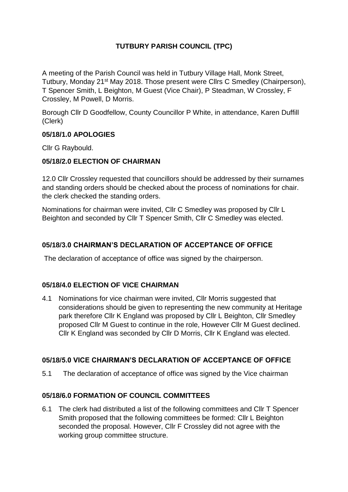# **TUTBURY PARISH COUNCIL (TPC)**

A meeting of the Parish Council was held in Tutbury Village Hall, Monk Street, Tutbury, Monday 21st May 2018. Those present were Cllrs C Smedley (Chairperson), T Spencer Smith, L Beighton, M Guest (Vice Chair), P Steadman, W Crossley, F Crossley, M Powell, D Morris.

Borough Cllr D Goodfellow, County Councillor P White, in attendance, Karen Duffill (Clerk)

## **05/18/1.0 APOLOGIES**

Cllr G Raybould.

# **05/18/2.0 ELECTION OF CHAIRMAN**

12.0 Cllr Crossley requested that councillors should be addressed by their surnames and standing orders should be checked about the process of nominations for chair. the clerk checked the standing orders.

Nominations for chairman were invited, Cllr C Smedley was proposed by Cllr L Beighton and seconded by Cllr T Spencer Smith, Cllr C Smedley was elected.

# **05/18/3.0 CHAIRMAN'S DECLARATION OF ACCEPTANCE OF OFFICE**

The declaration of acceptance of office was signed by the chairperson.

## **05/18/4.0 ELECTION OF VICE CHAIRMAN**

4.1 Nominations for vice chairman were invited, Cllr Morris suggested that considerations should be given to representing the new community at Heritage park therefore Cllr K England was proposed by Cllr L Beighton, Cllr Smedley proposed Cllr M Guest to continue in the role, However Cllr M Guest declined. Cllr K England was seconded by Cllr D Morris, Cllr K England was elected.

## **05/18/5.0 VICE CHAIRMAN'S DECLARATION OF ACCEPTANCE OF OFFICE**

5.1 The declaration of acceptance of office was signed by the Vice chairman

## **05/18/6.0 FORMATION OF COUNCIL COMMITTEES**

6.1 The clerk had distributed a list of the following committees and Cllr T Spencer Smith proposed that the following committees be formed: Cllr L Beighton seconded the proposal. However, Cllr F Crossley did not agree with the working group committee structure.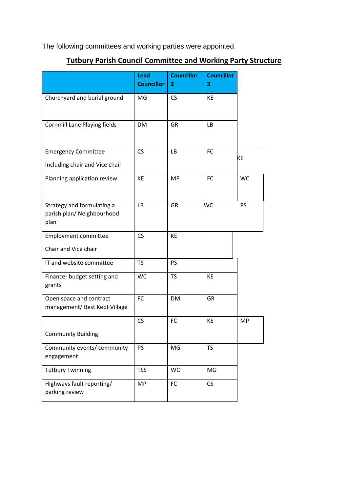The following committees and working parties were appointed.

# **Tutbury Parish Council Committee and Working Party Structure**

|                                                                  | <b>Lead</b><br><b>Councillor</b> | <b>Councillor</b><br>$\overline{2}$ | <b>Councillor</b><br>3 |           |
|------------------------------------------------------------------|----------------------------------|-------------------------------------|------------------------|-----------|
| Churchyard and burial ground                                     | MG                               | <b>CS</b>                           | KE                     |           |
| <b>Cornmill Lane Playing fields</b>                              | DM                               | GR                                  | LB                     |           |
| <b>Emergency Committee</b><br>Including chair and Vice chair     | <b>CS</b>                        | <b>LB</b>                           | <b>FC</b>              | KE        |
| Planning application review                                      | KE                               | <b>MP</b>                           | FC                     | <b>WC</b> |
| Strategy and formulating a<br>parish plan/ Neighbourhood<br>plan | LB                               | <b>GR</b>                           | WC                     | PS        |
| <b>Employment committee</b><br>Chair and Vice chair              | <b>CS</b>                        | <b>KE</b>                           |                        |           |
| IT and website committee                                         | <b>TS</b>                        | PS                                  |                        |           |
| Finance- budget setting and<br>grants                            | <b>WC</b>                        | <b>TS</b>                           | KE                     |           |
| Open space and contract<br>management/ Best Kept Village         | FC                               | <b>DM</b>                           | <b>GR</b>              |           |
| <b>Community Building</b>                                        | CS                               | <b>FC</b>                           | KE                     | <b>MP</b> |
| Community events/ community<br>engagement                        | <b>PS</b>                        | MG                                  | <b>TS</b>              |           |
| <b>Tutbury Twinning</b>                                          | <b>TSS</b>                       | <b>WC</b>                           | MG                     |           |
| Highways fault reporting/<br>parking review                      | <b>MP</b>                        | FC                                  | CS                     |           |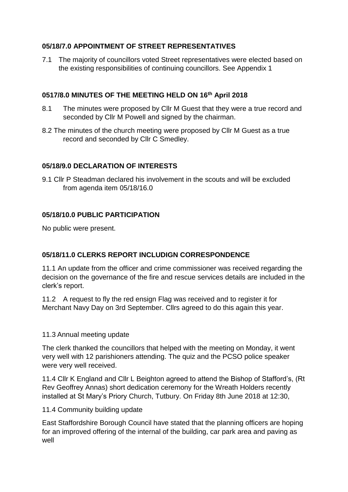## **05/18/7.0 APPOINTMENT OF STREET REPRESENTATIVES**

7.1 The majority of councillors voted Street representatives were elected based on the existing responsibilities of continuing councillors. See Appendix 1

# **0517/8.0 MINUTES OF THE MEETING HELD ON 16th April 2018**

- 8.1 The minutes were proposed by Cllr M Guest that they were a true record and seconded by Cllr M Powell and signed by the chairman.
- 8.2 The minutes of the church meeting were proposed by Cllr M Guest as a true record and seconded by Cllr C Smedley.

## **05/18/9.0 DECLARATION OF INTERESTS**

9.1 Cllr P Steadman declared his involvement in the scouts and will be excluded from agenda item 05/18/16.0

## **05/18/10.0 PUBLIC PARTICIPATION**

No public were present.

## **05/18/11.0 CLERKS REPORT INCLUDIGN CORRESPONDENCE**

11.1 An update from the officer and crime commissioner was received regarding the decision on the governance of the fire and rescue services details are included in the clerk's report.

11.2 A request to fly the red ensign Flag was received and to register it for Merchant Navy Day on 3rd September. Cllrs agreed to do this again this year.

## 11.3 Annual meeting update

The clerk thanked the councillors that helped with the meeting on Monday, it went very well with 12 parishioners attending. The quiz and the PCSO police speaker were very well received.

11.4 Cllr K England and Cllr L Beighton agreed to attend the Bishop of Stafford's, (Rt Rev Geoffrey Annas) short dedication ceremony for the Wreath Holders recently installed at St Mary's Priory Church, Tutbury. On Friday 8th June 2018 at 12:30,

11.4 Community building update

East Staffordshire Borough Council have stated that the planning officers are hoping for an improved offering of the internal of the building, car park area and paving as well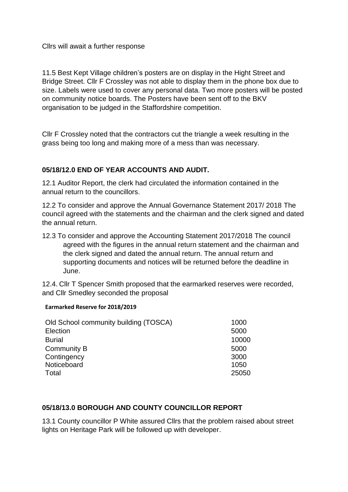Cllrs will await a further response

11.5 Best Kept Village children's posters are on display in the Hight Street and Bridge Street. Cllr F Crossley was not able to display them in the phone box due to size. Labels were used to cover any personal data. Two more posters will be posted on community notice boards. The Posters have been sent off to the BKV organisation to be judged in the Staffordshire competition.

Cllr F Crossley noted that the contractors cut the triangle a week resulting in the grass being too long and making more of a mess than was necessary.

## **05/18/12.0 END OF YEAR ACCOUNTS AND AUDIT.**

12.1 Auditor Report, the clerk had circulated the information contained in the annual return to the councillors.

12.2 To consider and approve the Annual Governance Statement 2017/ 2018 The council agreed with the statements and the chairman and the clerk signed and dated the annual return.

12.3 To consider and approve the Accounting Statement 2017/2018 The council agreed with the figures in the annual return statement and the chairman and the clerk signed and dated the annual return. The annual return and supporting documents and notices will be returned before the deadline in June.

12.4. Cllr T Spencer Smith proposed that the earmarked reserves were recorded, and Cllr Smedley seconded the proposal

#### **Earmarked Reserve for 2018/2019**

| 5000  |
|-------|
| 10000 |
| 5000  |
| 3000  |
| 1050  |
| 25050 |
|       |

#### **05/18/13.0 BOROUGH AND COUNTY COUNCILLOR REPORT**

13.1 County councillor P White assured Cllrs that the problem raised about street lights on Heritage Park will be followed up with developer.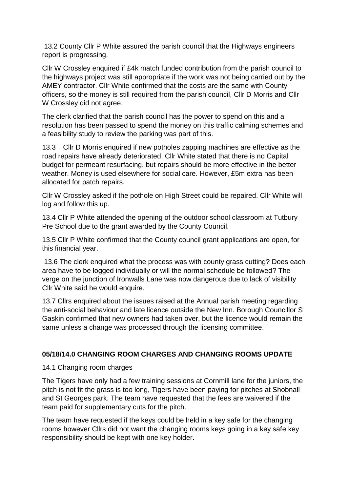13.2 County Cllr P White assured the parish council that the Highways engineers report is progressing.

Cllr W Crossley enquired if £4k match funded contribution from the parish council to the highways project was still appropriate if the work was not being carried out by the AMEY contractor. Cllr White confirmed that the costs are the same with County officers, so the money is still required from the parish council, Cllr D Morris and Cllr W Crossley did not agree.

The clerk clarified that the parish council has the power to spend on this and a resolution has been passed to spend the money on this traffic calming schemes and a feasibility study to review the parking was part of this.

13.3 Cllr D Morris enquired if new potholes zapping machines are effective as the road repairs have already deteriorated. Cllr White stated that there is no Capital budget for permeant resurfacing, but repairs should be more effective in the better weather. Money is used elsewhere for social care. However, £5m extra has been allocated for patch repairs.

Cllr W Crossley asked if the pothole on High Street could be repaired. Cllr White will log and follow this up.

13.4 Cllr P White attended the opening of the outdoor school classroom at Tutbury Pre School due to the grant awarded by the County Council.

13.5 Cllr P White confirmed that the County council grant applications are open, for this financial year.

13.6 The clerk enquired what the process was with county grass cutting? Does each area have to be logged individually or will the normal schedule be followed? The verge on the junction of Ironwalls Lane was now dangerous due to lack of visibility Cllr White said he would enquire.

13.7 Cllrs enquired about the issues raised at the Annual parish meeting regarding the anti-social behaviour and late licence outside the New Inn. Borough Councillor S Gaskin confirmed that new owners had taken over, but the licence would remain the same unless a change was processed through the licensing committee.

## **05/18/14.0 CHANGING ROOM CHARGES AND CHANGING ROOMS UPDATE**

14.1 Changing room charges

The Tigers have only had a few training sessions at Cornmill lane for the juniors, the pitch is not fit the grass is too long, Tigers have been paying for pitches at Shobnall and St Georges park. The team have requested that the fees are waivered if the team paid for supplementary cuts for the pitch.

The team have requested if the keys could be held in a key safe for the changing rooms however Cllrs did not want the changing rooms keys going in a key safe key responsibility should be kept with one key holder.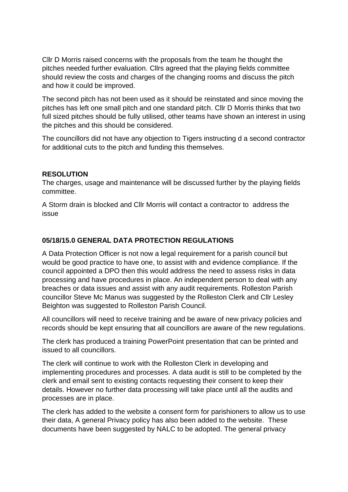Cllr D Morris raised concerns with the proposals from the team he thought the pitches needed further evaluation. Cllrs agreed that the playing fields committee should review the costs and charges of the changing rooms and discuss the pitch and how it could be improved.

The second pitch has not been used as it should be reinstated and since moving the pitches has left one small pitch and one standard pitch. Cllr D Morris thinks that two full sized pitches should be fully utilised, other teams have shown an interest in using the pitches and this should be considered.

The councillors did not have any objection to Tigers instructing d a second contractor for additional cuts to the pitch and funding this themselves.

#### **RESOLUTION**

The charges, usage and maintenance will be discussed further by the playing fields committee.

A Storm drain is blocked and Cllr Morris will contact a contractor to address the issue

#### **05/18/15.0 GENERAL DATA PROTECTION REGULATIONS**

A Data Protection Officer is not now a legal requirement for a parish council but would be good practice to have one, to assist with and evidence compliance. If the council appointed a DPO then this would address the need to assess risks in data processing and have procedures in place. An independent person to deal with any breaches or data issues and assist with any audit requirements. Rolleston Parish councillor Steve Mc Manus was suggested by the Rolleston Clerk and Cllr Lesley Beighton was suggested to Rolleston Parish Council.

All councillors will need to receive training and be aware of new privacy policies and records should be kept ensuring that all councillors are aware of the new regulations.

The clerk has produced a training PowerPoint presentation that can be printed and issued to all councillors.

The clerk will continue to work with the Rolleston Clerk in developing and implementing procedures and processes. A data audit is still to be completed by the clerk and email sent to existing contacts requesting their consent to keep their details. However no further data processing will take place until all the audits and processes are in place.

The clerk has added to the website a consent form for parishioners to allow us to use their data, A general Privacy policy has also been added to the website. These documents have been suggested by NALC to be adopted. The general privacy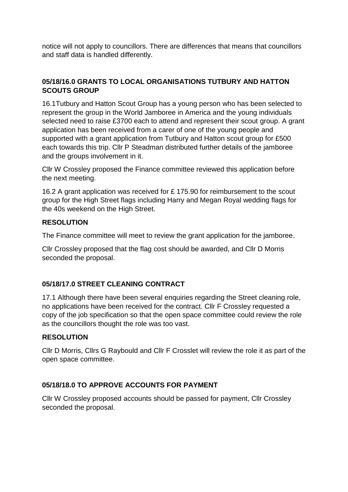notice will not apply to councillors. There are differences that means that councillors and staff data is handled differently.

## **05/18/16.0 GRANTS TO LOCAL ORGANISATIONS TUTBURY AND HATTON SCOUTS GROUP**

16.1Tutbury and Hatton Scout Group has a young person who has been selected to represent the group in the World Jamboree in America and the young individuals selected need to raise £3700 each to attend and represent their scout group. A grant application has been received from a carer of one of the young people and supported with a grant application from Tutbury and Hatton scout group for £500 each towards this trip. Cllr P Steadman distributed further details of the jamboree and the groups involvement in it.

Cllr W Crossley proposed the Finance committee reviewed this application before the next meeting.

16.2 A grant application was received for £ 175.90 for reimbursement to the scout group for the High Street flags including Harry and Megan Royal wedding flags for the 40s weekend on the High Street.

# **RESOLUTION**

The Finance committee will meet to review the grant application for the jamboree.

Cllr Crossley proposed that the flag cost should be awarded, and Cllr D Morris seconded the proposal.

# **05/18/17.0 STREET CLEANING CONTRACT**

17.1 Although there have been several enquiries regarding the Street cleaning role, no applications have been received for the contract. Cllr F Crossley requested a copy of the job specification so that the open space committee could review the role as the councillors thought the role was too vast.

## **RESOLUTION**

Cllr D Morris, Cllrs G Raybould and Cllr F Crosslet will review the role it as part of the open space committee.

## **05/18/18.0 TO APPROVE ACCOUNTS FOR PAYMENT**

Cllr W Crossley proposed accounts should be passed for payment, Cllr Crossley seconded the proposal.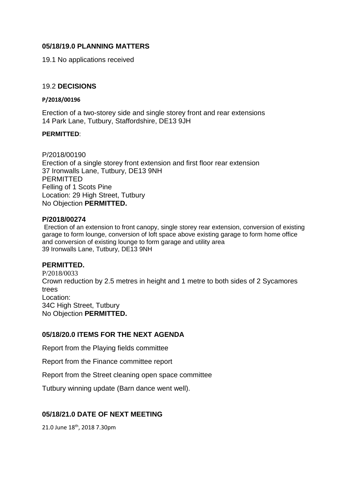#### **05/18/19.0 PLANNING MATTERS**

19.1 No applications received

#### 19.2 **DECISIONS**

#### **P/2018/00196**

Erection of a two-storey side and single storey front and rear extensions 14 Park Lane, Tutbury, Staffordshire, DE13 9JH

#### **PERMITTED**:

P/2018/00190 Erection of a single storey front extension and first floor rear extension 37 Ironwalls Lane, Tutbury, DE13 9NH PERMITTED Felling of 1 Scots Pine Location: 29 High Street, Tutbury No Objection **PERMITTED.**

#### **P/2018/00274**

Erection of an extension to front canopy, single storey rear extension, conversion of existing garage to form lounge, conversion of loft space above existing garage to form home office and conversion of existing lounge to form garage and utility area 39 Ironwalls Lane, Tutbury, DE13 9NH

#### **PERMITTED.**

P/2018/0033 Crown reduction by 2.5 metres in height and 1 metre to both sides of 2 Sycamores trees Location: 34C High Street, Tutbury No Objection **PERMITTED.**

#### **05/18/20.0 ITEMS FOR THE NEXT AGENDA**

Report from the Playing fields committee

Report from the Finance committee report

Report from the Street cleaning open space committee

Tutbury winning update (Barn dance went well).

#### **05/18/21.0 DATE OF NEXT MEETING**

21.0 June 18th, 2018 7.30pm